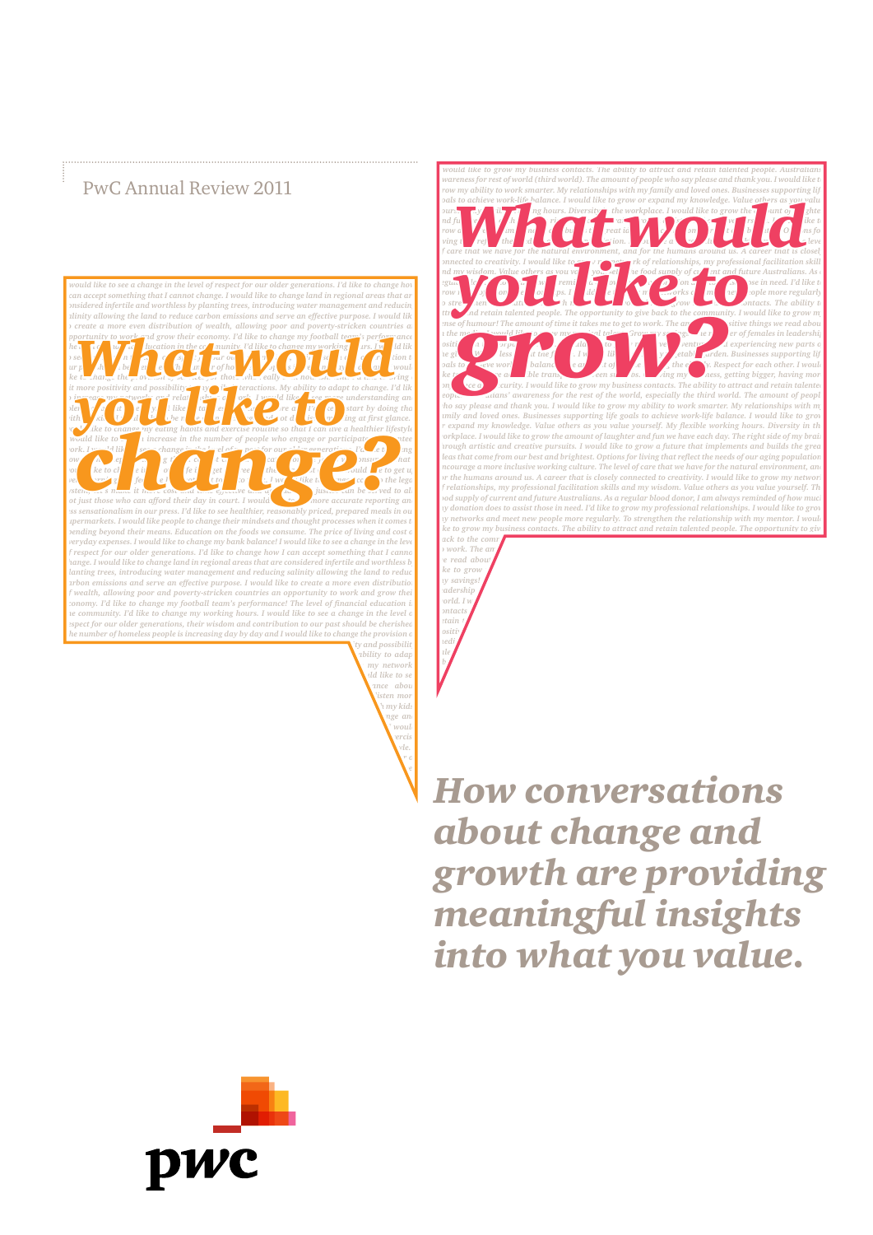# PwC Annual Review 2011



*more understanding and tolerance about diversity. I'd like to talk less and listen more and I'd like to start by doing that with my kids. I would like to be more open to change and not dismiss something at first glance. I would like to change my eating habits and exercise routine so that I can like a healthier lifestyle.* **I like a healthier lifestyle. I** *would like to see an increase in the number of people who engage or participate in volunteer work. I would like to see a change in the level of respect for our older generations. I'd like to change how I can accept something that I*  *I would like to grow my business contacts. The ability to attract and retain talented people. Australians' awareness for rest of world (third world). The amount of people who say please and thank you. I would like to*  **g** row my ability to work smarter. My relationships with my family and loved ones. Businesses supporting life **prop** pals to achieve work-life halance. I would like to grow or expand my knowledge. Value others as you waitu<br>and full the parties of the contract of the contract of the contract of the contract of the contract of the contract and my visited to creativity. I would like to the contract of the frequency of the frequency of the contract of the contract of the contract of the contract of the contract of the contract of the contract of the contract o *sinse of humour! The amount of time it takes me to get to work. The amount of sitive things we read abou in the media. I would like to grow my my my manufacture of females in leadership* $\frac{1}{2}$  **and**  $\frac{1}{2}$  **are of females in leadership positive diagrams in the corporate world. In the corporate to grow my travel and experiencing new parts of** *the globe. We less attitude future fully like to grow etable garden. Businesses supporting life* $\frac{1}{2}$ **goals to acree work-light balance. The amount of people helping the elderly. Respect for each other. I would** *like to grow more accessible transport between suburbs. Growing my business, getting bigger, having more accessible transport by the business, and the suburbs. Growing more accessible transport by the business, getting b confidence and security. I would like to grow my business contacts. The ability to attract and retain talented people. Australians' awareness for the rest of the world, especially the third world. The amount of people who say please and thank you. I would like to grow my ability to work smarter. My relationships with m family and loved ones. Businesses supporting life goals to achieve work-life balance. I would like to grov or expand my knowledge. Value others as you value yourself. My flexible working hours. Diversity in the workplace. I would like to grow the amount of laughter and fun we have each day. The right side of my brain through artistic and creative pursuits. I would like to grow a future that implements and builds the grea ideas that come from our best and brightest. Options for living that reflect the needs of our aging population Encourage a more inclusive working culture. The level of care that we have for the natural environment, and for the humans around us. A career that is closely connected to creativity. I would like to grow my network of relationships, my professional facilitation skills and my wisdom. Value others as you value yourself. The food supply of current and future Australians. As a regular blood donor, I am always reminded of how much my donation does to assist those in need. I'd like to grow my professional relationships. I would like to grow my networks and meet new people more regularly. To strengthen the relationship with my mentor. I would li ke to grow my business contacts. The ability to attract and retain talented people. The opportunity to give back to the community. I would like to grow my sense of humour! The amount of time it takes me to get amount of time it takes me to get amount of the amount of the amount of the amount of the amount of the amount of the b* work. The an *we read about in the media of the media of media. I would also would also would also would be a media. I would be a media.* and retain talented people. The opportunity to give back to the community of the contract of the set of the set of the set of the set of the set of the set of the set of the set of the set of the set of the set of the set

*like to grow my savings!* The number of  $\theta$  *my savings! leadership positions in the corporate world. I w contacts. The ability to attract and retain talented people. The amount of positive* the *positive* the *positive*  $\mathbf{r}$ *media. I would like to grow my musical like to grow my musical like to grow my musical like to grow my musical* $\mathbb{R}^n$ *talent. Grow my savings. Worry less about the future. I would like to grow my vegetable garden. Businesses supporting life goals to achieve* 

*How conversations about change and growth are providing meaningful insights into what you value.*

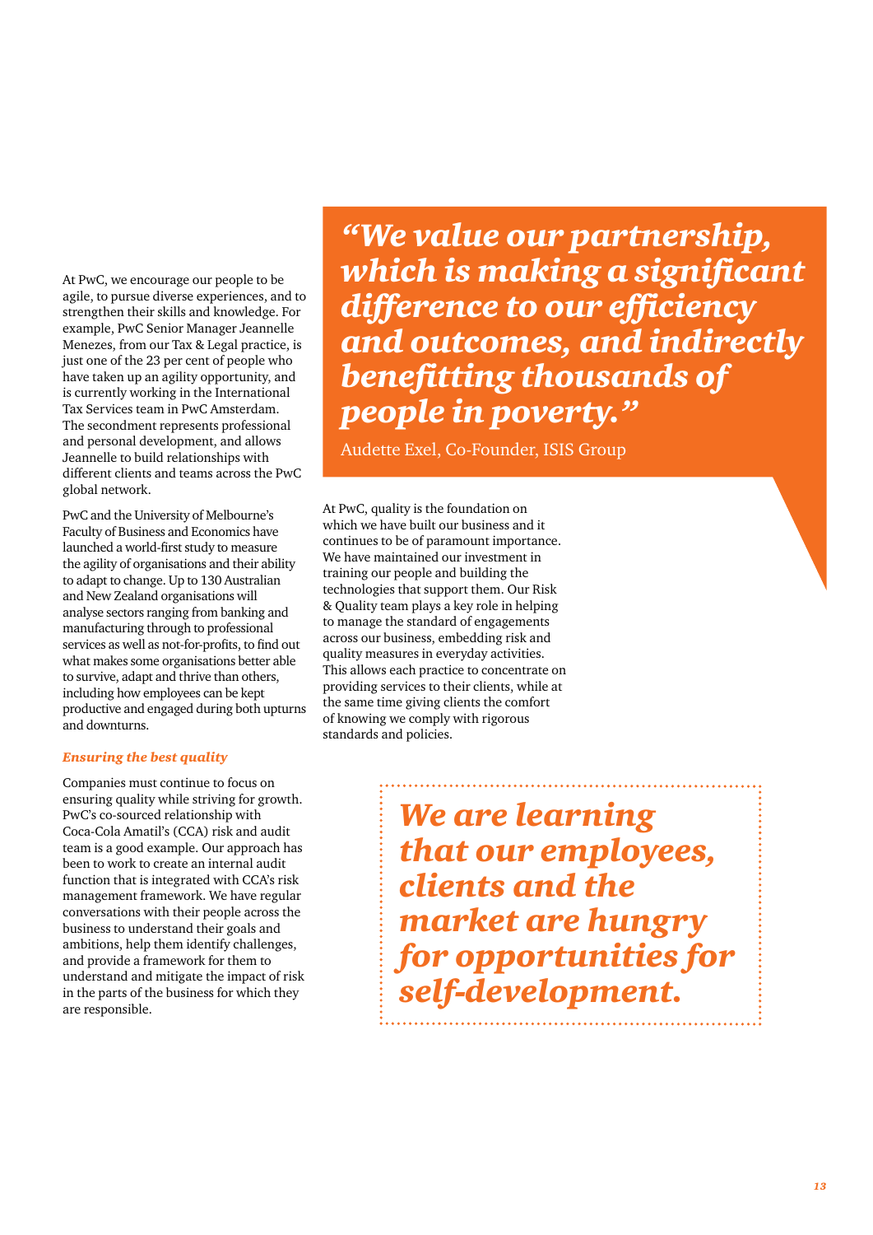At PwC, we encourage our people to be agile, to pursue diverse experiences, and to strengthen their skills and knowledge. For example, PwC Senior Manager Jeannelle Menezes, from our Tax & Legal practice, is just one of the 23 per cent of people who have taken up an agility opportunity, and is currently working in the International Tax Services team in PwC Amsterdam. The secondment represents professional and personal development, and allows Jeannelle to build relationships with different clients and teams across the PwC global network.

PwC and the University of Melbourne's Faculty of Business and Economics have launched a world-first study to measure the agility of organisations and their ability to adapt to change. Up to 130 Australian and New Zealand organisations will analyse sectors ranging from banking and manufacturing through to professional services as well as not-for-profits, to find out what makes some organisations better able to survive, adapt and thrive than others, including how employees can be kept productive and engaged during both upturns and downturns.

## *Ensuring the best quality*

Companies must continue to focus on ensuring quality while striving for growth. PwC's co-sourced relationship with Coca-Cola Amatil's (CCA) risk and audit team is a good example. Our approach has been to work to create an internal audit function that is integrated with CCA's risk management framework. We have regular conversations with their people across the business to understand their goals and ambitions, help them identify challenges, and provide a framework for them to understand and mitigate the impact of risk in the parts of the business for which they are responsible.

*"We value our partnership, which is making a significant difference to our efficiency and outcomes, and indirectly benefitting thousands of people in poverty."* 

Audette Exel, Co-Founder, ISIS Group

At PwC, quality is the foundation on which we have built our business and it continues to be of paramount importance. We have maintained our investment in training our people and building the technologies that support them. Our Risk & Quality team plays a key role in helping to manage the standard of engagements across our business, embedding risk and quality measures in everyday activities. This allows each practice to concentrate on providing services to their clients, while at the same time giving clients the comfort of knowing we comply with rigorous standards and policies.

> *We are learning that our employees, clients and the market are hungry for opportunities for self-development.*